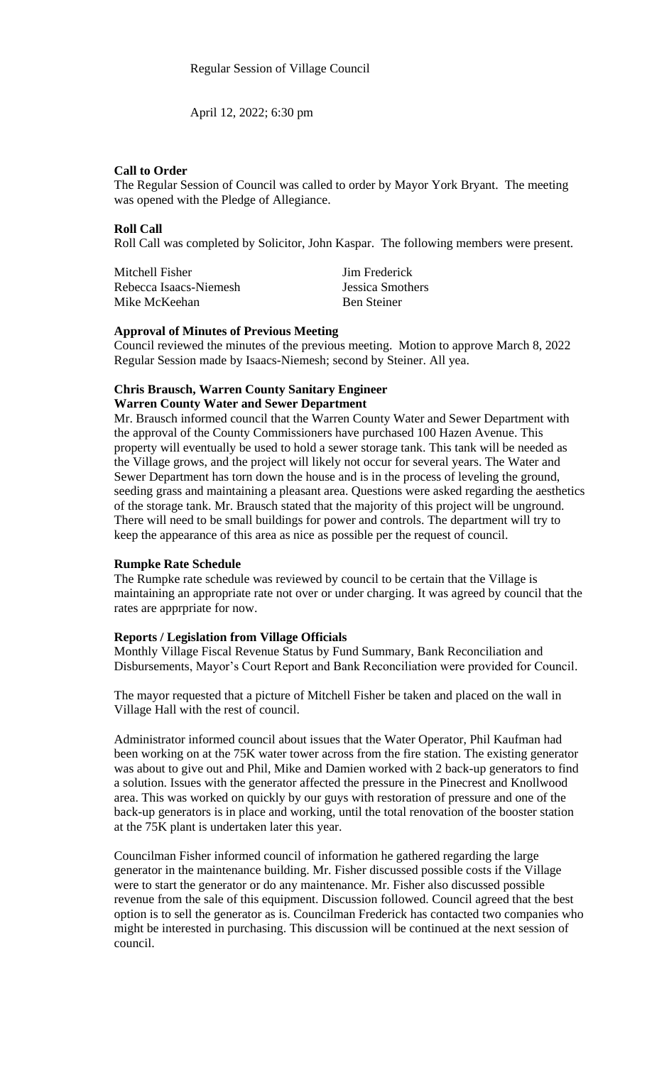April 12, 2022; 6:30 pm

## **Call to Order**

The Regular Session of Council was called to order by Mayor York Bryant. The meeting was opened with the Pledge of Allegiance.

## **Roll Call**

Roll Call was completed by Solicitor, John Kaspar. The following members were present.

| Mitchell Fisher        | Jim Frederick      |
|------------------------|--------------------|
| Rebecca Isaacs-Niemesh | Jessica Smothers   |
| Mike McKeehan          | <b>Ben Steiner</b> |

## **Approval of Minutes of Previous Meeting**

Council reviewed the minutes of the previous meeting. Motion to approve March 8, 2022 Regular Session made by Isaacs-Niemesh; second by Steiner. All yea.

#### **Chris Brausch, Warren County Sanitary Engineer Warren County Water and Sewer Department**

Mr. Brausch informed council that the Warren County Water and Sewer Department with the approval of the County Commissioners have purchased 100 Hazen Avenue. This property will eventually be used to hold a sewer storage tank. This tank will be needed as the Village grows, and the project will likely not occur for several years. The Water and Sewer Department has torn down the house and is in the process of leveling the ground, seeding grass and maintaining a pleasant area. Questions were asked regarding the aesthetics of the storage tank. Mr. Brausch stated that the majority of this project will be unground. There will need to be small buildings for power and controls. The department will try to keep the appearance of this area as nice as possible per the request of council.

#### **Rumpke Rate Schedule**

The Rumpke rate schedule was reviewed by council to be certain that the Village is maintaining an appropriate rate not over or under charging. It was agreed by council that the rates are apprpriate for now.

### **Reports / Legislation from Village Officials**

Monthly Village Fiscal Revenue Status by Fund Summary, Bank Reconciliation and Disbursements, Mayor's Court Report and Bank Reconciliation were provided for Council.

The mayor requested that a picture of Mitchell Fisher be taken and placed on the wall in Village Hall with the rest of council.

Administrator informed council about issues that the Water Operator, Phil Kaufman had been working on at the 75K water tower across from the fire station. The existing generator was about to give out and Phil, Mike and Damien worked with 2 back-up generators to find a solution. Issues with the generator affected the pressure in the Pinecrest and Knollwood area. This was worked on quickly by our guys with restoration of pressure and one of the back-up generators is in place and working, until the total renovation of the booster station at the 75K plant is undertaken later this year.

Councilman Fisher informed council of information he gathered regarding the large generator in the maintenance building. Mr. Fisher discussed possible costs if the Village were to start the generator or do any maintenance. Mr. Fisher also discussed possible revenue from the sale of this equipment. Discussion followed. Council agreed that the best option is to sell the generator as is. Councilman Frederick has contacted two companies who might be interested in purchasing. This discussion will be continued at the next session of council.